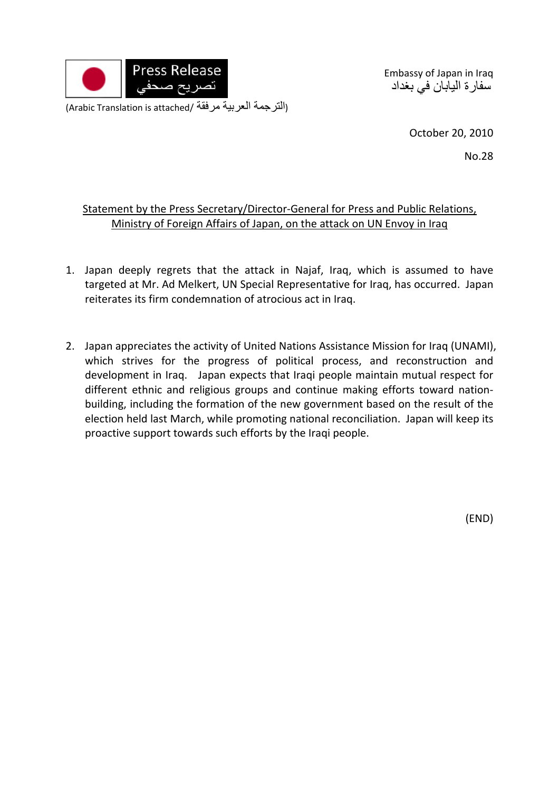

Embassy of Japan in Iraq سفارة اليابان في بغداد

(Arabic Translation is attached/ مرفقة العربية الترجمة(

October 20, 2010

No.28

## Statement by the Press Secretary/Director-General for Press and Public Relations, Ministry of Foreign Affairs of Japan, on the attack on UN Envoy in Iraq

- 1. Japan deeply regrets that the attack in Najaf, Iraq, which is assumed to have targeted at Mr. Ad Melkert, UN Special Representative for Iraq, has occurred. Japan reiterates its firm condemnation of atrocious act in Iraq.
- 2. Japan appreciates the activity of United Nations Assistance Mission for Iraq (UNAMI), which strives for the progress of political process, and reconstruction and development in Iraq. Japan expects that Iraqi people maintain mutual respect for different ethnic and religious groups and continue making efforts toward nation‐ building, including the formation of the new government based on the result of the election held last March, while promoting national reconciliation. Japan will keep its proactive support towards such efforts by the Iraqi people.

(END)